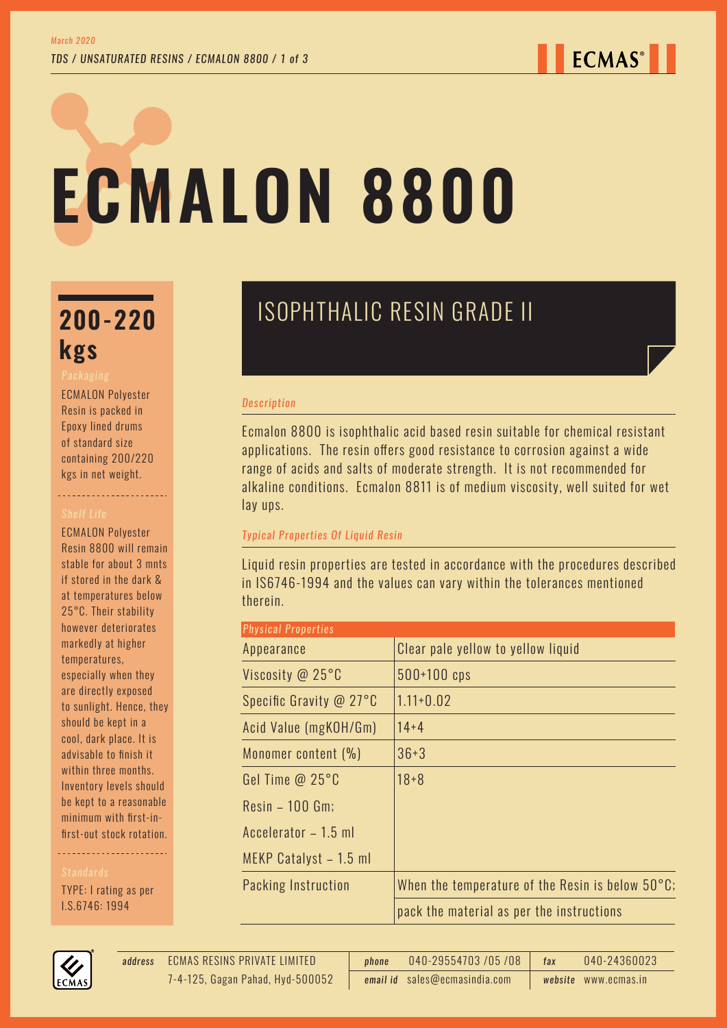# **ECMALON 8800**

# **kgs**

ECMALON Polyester Resin is packed in Epoxy lined drums of standard size containing 200/220 kgs in net weight.

----------------------

ECMALON Polyester Resin 8800 will remain stable for about 3 mnts if stored in the dark & at temperatures below 25°C. Their stability however deteriorates markedly at higher temperatures, especially when they are directly exposed to sunlight. Hence, they should be kept in a cool, dark place. It is advisable to finish it within three months. Inventory levels should be kept to a reasonable minimum with first-infirst-out stock rotation.

TYPE: I rating as per I.S.6746: 1994



#### *Description*

Ecmalon 8800 is isophthalic acid based resin suitable for chemical resistant applications. The resin offers good resistance to corrosion against a wide range of acids and salts of moderate strength. It is not recommended for alkaline conditions. Ecmalon 8811 is of medium viscosity, well suited for wet lay ups.

# *Typical Properties Of Liquid Resin*

Liquid resin properties are tested in accordance with the procedures described in IS6746-1994 and the values can vary within the tolerances mentioned therein.

| <b>Physical Properties</b> |                                                            |  |  |
|----------------------------|------------------------------------------------------------|--|--|
| Appearance                 | Clear pale yellow to yellow liquid                         |  |  |
| Viscosity @ 25°C           | $500+100$ cps                                              |  |  |
| Specific Gravity @ 27°C    | $1.11 + 0.02$                                              |  |  |
| Acid Value (mgKOH/Gm)      | $14 + 4$                                                   |  |  |
| Monomer content (%)        | $36 + 3$                                                   |  |  |
| Gel Time $@25°C$           | $18 + 8$                                                   |  |  |
| $Resin - 100$ Gm;          |                                                            |  |  |
| Accelerator - 1.5 ml       |                                                            |  |  |
| MEKP Catalyst - 1.5 ml     |                                                            |  |  |
| Packing Instruction        | When the temperature of the Resin is below $50^{\circ}$ C; |  |  |
|                            | pack the material as per the instructions                  |  |  |



*email id* sales@ecmasindia.com *website* www.ecmas.in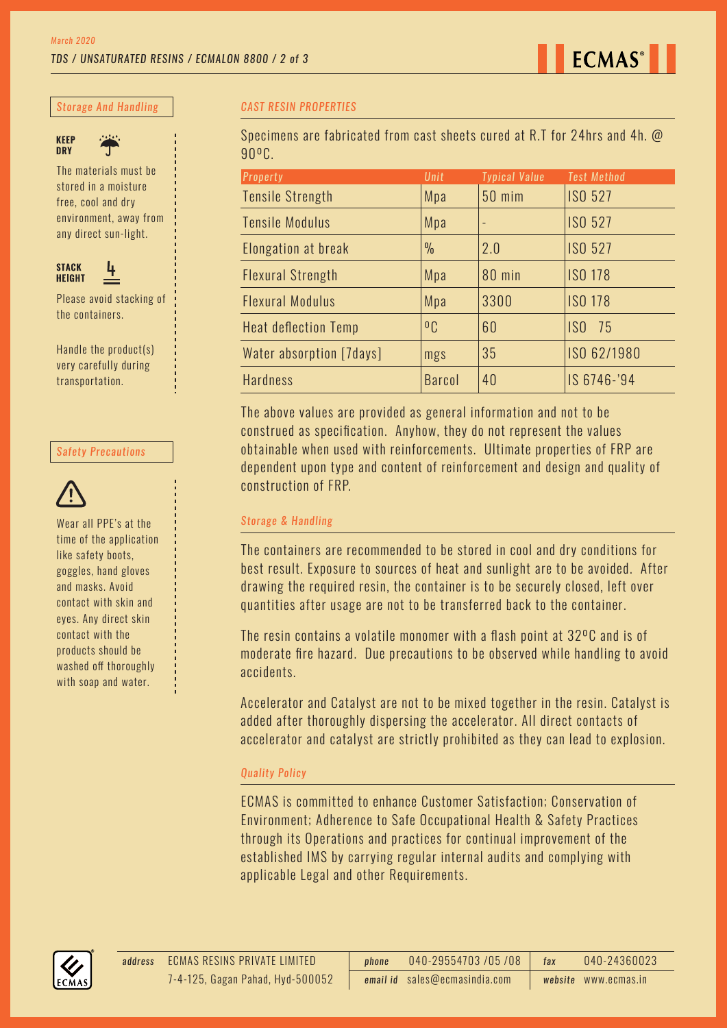

*Storage And Handling*



The materials must be stored in a moisture free, cool and dry environment, away from any direct sun-light.



Please avoid stacking of the containers.

Handle the product(s) very carefully during transportation.

#### *Safety Precautions*



Wear all PPE's at the time of the application like safety boots, goggles, hand gloves and masks. Avoid contact with skin and eyes. Any direct skin contact with the products should be washed off thoroughly with soap and water.

### *CAST RESIN PROPERTIES*

Specimens are fabricated from cast sheets cured at R.T for 24hrs and 4h. @ 90ºC.

| <b>Property</b>             | Unit           | <b>Typical Value</b> | <b>Test Method</b> |
|-----------------------------|----------------|----------------------|--------------------|
| <b>Tensile Strength</b>     | Mpa            | <b>50 mim</b>        | <b>ISO 527</b>     |
| <b>Tensile Modulus</b>      | Mpa            | $\qquad \qquad -$    | <b>ISO 527</b>     |
| Elongation at break         | $\frac{0}{0}$  | 2.0                  | <b>ISO 527</b>     |
| <b>Flexural Strength</b>    | Mpa            | 80 min               | <b>ISO 178</b>     |
| <b>Flexural Modulus</b>     | Mpa            | 3300                 | <b>ISO 178</b>     |
| <b>Heat deflection Temp</b> | 0 <sub>C</sub> | 60                   | ISO <sub>75</sub>  |
| Water absorption [7days]    | mgs            | 35                   | ISO 62/1980        |
| <b>Hardness</b>             | <b>Barcol</b>  | 40                   | IS 6746-'94        |

The above values are provided as general information and not to be construed as specification. Anyhow, they do not represent the values obtainable when used with reinforcements. Ultimate properties of FRP are dependent upon type and content of reinforcement and design and quality of construction of FRP.

#### *Storage & Handling*

The containers are recommended to be stored in cool and dry conditions for best result. Exposure to sources of heat and sunlight are to be avoided. After drawing the required resin, the container is to be securely closed, left over quantities after usage are not to be transferred back to the container.

The resin contains a volatile monomer with a flash point at 32ºC and is of moderate fire hazard. Due precautions to be observed while handling to avoid accidents.

Accelerator and Catalyst are not to be mixed together in the resin. Catalyst is added after thoroughly dispersing the accelerator. All direct contacts of accelerator and catalyst are strictly prohibited as they can lead to explosion.

# *Quality Policy*

ECMAS is committed to enhance Customer Satisfaction; Conservation of Environment; Adherence to Safe Occupational Health & Safety Practices through its Operations and practices for continual improvement of the established IMS by carrying regular internal audits and complying with applicable Legal and other Requirements.